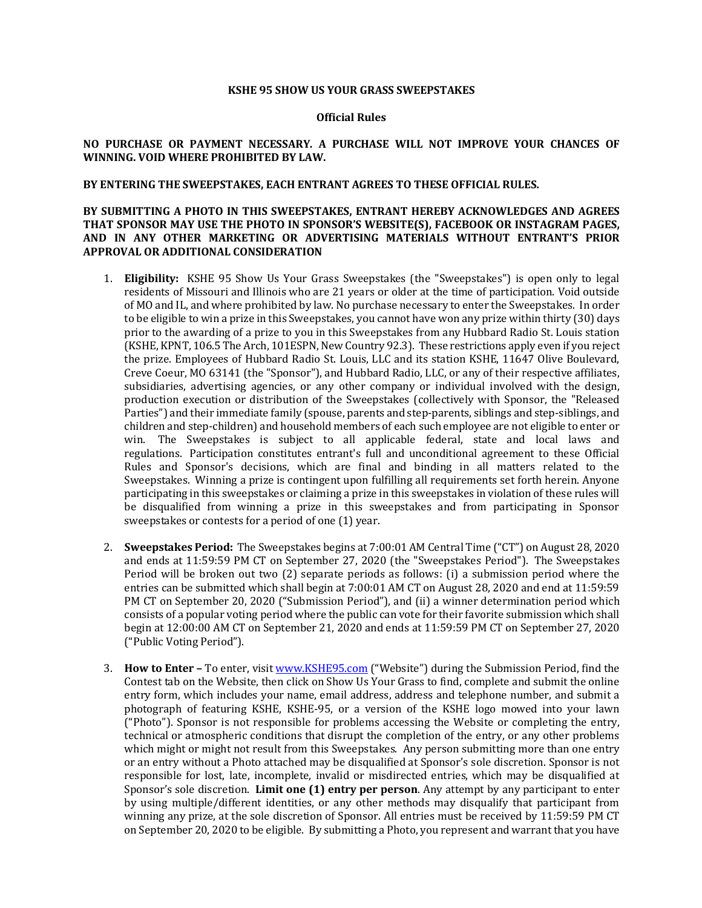### **KSHE 95 SHOW US YOUR GRASS SWEEPSTAKES**

#### **Official Rules**

## NO PURCHASE OR PAYMENT NECESSARY. A PURCHASE WILL NOT IMPROVE YOUR CHANCES OF WINNING. VOID WHERE PROHIBITED BY LAW.

## BY ENTERING THE SWEEPSTAKES, EACH ENTRANT AGREES TO THESE OFFICIAL RULES.

# BY SUBMITTING A PHOTO IN THIS SWEEPSTAKES, ENTRANT HEREBY ACKNOWLEDGES AND AGREES THAT SPONSOR MAY USE THE PHOTO IN SPONSOR'S WEBSITE(S), FACEBOOK OR INSTAGRAM PAGES, AND IN ANY OTHER MARKETING OR ADVERTISING MATERIALS WITHOUT ENTRANT'S PRIOR **APPROVAL OR ADDITIONAL CONSIDERATION**

- 1. **Eligibility:** KSHE 95 Show Us Your Grass Sweepstakes (the "Sweepstakes") is open only to legal residents of Missouri and Illinois who are 21 years or older at the time of participation. Void outside of MO and IL, and where prohibited by law. No purchase necessary to enter the Sweepstakes. In order to be eligible to win a prize in this Sweepstakes, you cannot have won any prize within thirty (30) days prior to the awarding of a prize to you in this Sweepstakes from any Hubbard Radio St. Louis station (KSHE, KPNT, 106.5 The Arch, 101ESPN, New Country 92.3). These restrictions apply even if you reject the prize. Employees of Hubbard Radio St. Louis, LLC and its station KSHE, 11647 Olive Boulevard, Creve Coeur, MO 63141 (the "Sponsor"), and Hubbard Radio, LLC, or any of their respective affiliates, subsidiaries, advertising agencies, or any other company or individual involved with the design, production execution or distribution of the Sweepstakes (collectively with Sponsor, the "Released Parties") and their immediate family (spouse, parents and step-parents, siblings and step-siblings, and children and step-children) and household members of each such employee are not eligible to enter or win. The Sweepstakes is subject to all applicable federal, state and local laws and regulations. Participation constitutes entrant's full and unconditional agreement to these Official Rules and Sponsor's decisions, which are final and binding in all matters related to the Sweepstakes. Winning a prize is contingent upon fulfilling all requirements set forth herein. Anyone participating in this sweepstakes or claiming a prize in this sweepstakes in violation of these rules will be disqualified from winning a prize in this sweepstakes and from participating in Sponsor sweepstakes or contests for a period of one (1) year.
- 2. **Sweepstakes Period:** The Sweepstakes begins at 7:00:01 AM Central Time ("CT") on August 28, 2020 and ends at 11:59:59 PM CT on September 27, 2020 (the "Sweepstakes Period"). The Sweepstakes Period will be broken out two  $(2)$  separate periods as follows:  $(i)$  a submission period where the entries can be submitted which shall begin at 7:00:01 AM CT on August 28, 2020 and end at 11:59:59 PM CT on September 20, 2020 ("Submission Period"), and (ii) a winner determination period which consists of a popular voting period where the public can vote for their favorite submission which shall begin at 12:00:00 AM CT on September 21, 2020 and ends at 11:59:59 PM CT on September 27, 2020 ("Public Voting Period").
- 3. **How to Enter** To enter, visit www.KSHE95.com ("Website") during the Submission Period, find the Contest tab on the Website, then click on Show Us Your Grass to find, complete and submit the online entry form, which includes your name, email address, address and telephone number, and submit a photograph of featuring KSHE, KSHE-95, or a version of the KSHE logo mowed into your lawn  $($ "Photo"). Sponsor is not responsible for problems accessing the Website or completing the entry, technical or atmospheric conditions that disrupt the completion of the entry, or any other problems which might or might not result from this Sweepstakes. Any person submitting more than one entry or an entry without a Photo attached may be disqualified at Sponsor's sole discretion. Sponsor is not responsible for lost, late, incomplete, invalid or misdirected entries, which may be disqualified at Sponsor's sole discretion. **Limit one (1) entry per person**. Any attempt by any participant to enter by using multiple/different identities, or any other methods may disqualify that participant from winning any prize, at the sole discretion of Sponsor. All entries must be received by 11:59:59 PM CT on September 20, 2020 to be eligible. By submitting a Photo, you represent and warrant that you have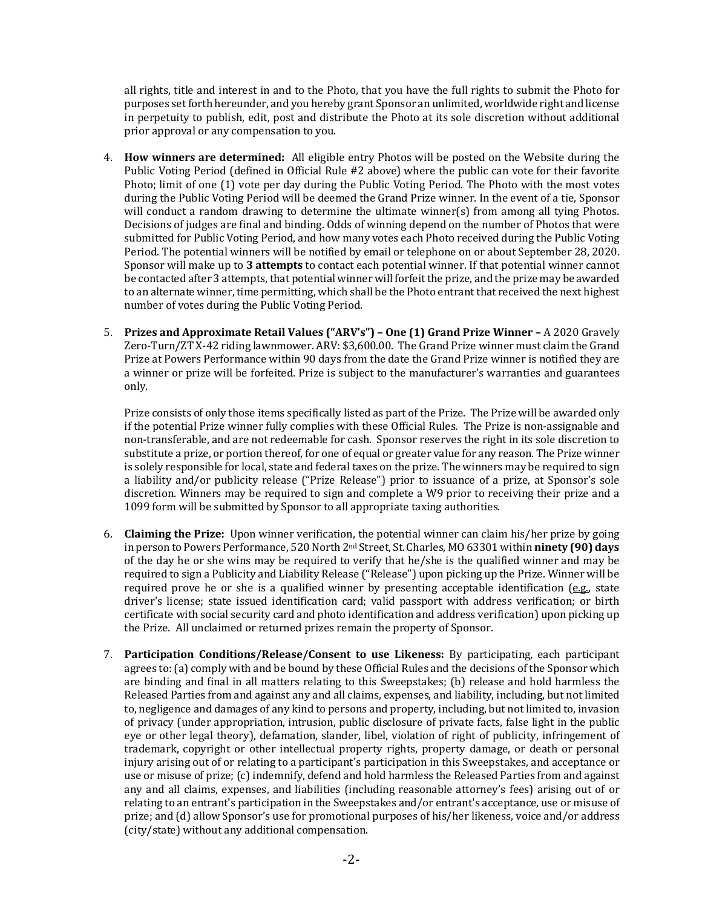all rights, title and interest in and to the Photo, that you have the full rights to submit the Photo for purposes set forth hereunder, and you hereby grant Sponsor an unlimited, worldwide right and license in perpetuity to publish, edit, post and distribute the Photo at its sole discretion without additional prior approval or any compensation to you.

- 4. **How winners are determined:** All eligible entry Photos will be posted on the Website during the Public Voting Period (defined in Official Rule #2 above) where the public can vote for their favorite Photo; limit of one (1) vote per day during the Public Voting Period. The Photo with the most votes during the Public Voting Period will be deemed the Grand Prize winner. In the event of a tie, Sponsor will conduct a random drawing to determine the ultimate winner(s) from among all tying Photos. Decisions of judges are final and binding. Odds of winning depend on the number of Photos that were submitted for Public Voting Period, and how many votes each Photo received during the Public Voting Period. The potential winners will be notified by email or telephone on or about September 28, 2020. Sponsor will make up to 3 attempts to contact each potential winner. If that potential winner cannot be contacted after 3 attempts, that potential winner will forfeit the prize, and the prize may be awarded to an alternate winner, time permitting, which shall be the Photo entrant that received the next highest number of votes during the Public Voting Period.
- 5. **Prizes and Approximate Retail Values ("ARV's") – One (1) Grand Prize Winner –** A 2020 Gravely Zero-Turn/ZT X-42 riding lawnmower. ARV: \$3,600.00. The Grand Prize winner must claim the Grand Prize at Powers Performance within 90 days from the date the Grand Prize winner is notified they are a winner or prize will be forfeited. Prize is subject to the manufacturer's warranties and guarantees only.

Prize consists of only those items specifically listed as part of the Prize. The Prize will be awarded only if the potential Prize winner fully complies with these Official Rules. The Prize is non-assignable and non-transferable, and are not redeemable for cash. Sponsor reserves the right in its sole discretion to substitute a prize, or portion thereof, for one of equal or greater value for any reason. The Prize winner is solely responsible for local, state and federal taxes on the prize. The winners may be required to sign a liability and/or publicity release ("Prize Release") prior to issuance of a prize, at Sponsor's sole discretion. Winners may be required to sign and complete a W9 prior to receiving their prize and a 1099 form will be submitted by Sponsor to all appropriate taxing authorities.

- 6. **Claiming the Prize:** Upon winner verification, the potential winner can claim his/her prize by going in person to Powers Performance, 520 North 2<sup>nd</sup> Street, St. Charles, MO 63301 within **ninety (90) days** of the day he or she wins may be required to verify that he/she is the qualified winner and may be required to sign a Publicity and Liability Release ("Release") upon picking up the Prize. Winner will be required prove he or she is a qualified winner by presenting acceptable identification  $(e.g., state)$ driver's license; state issued identification card; valid passport with address verification; or birth certificate with social security card and photo identification and address verification) upon picking up the Prize. All unclaimed or returned prizes remain the property of Sponsor.
- 7. **Participation Conditions/Release/Consent to use Likeness:** By participating, each participant agrees to: (a) comply with and be bound by these Official Rules and the decisions of the Sponsor which are binding and final in all matters relating to this Sweepstakes; (b) release and hold harmless the Released Parties from and against any and all claims, expenses, and liability, including, but not limited to, negligence and damages of any kind to persons and property, including, but not limited to, invasion of privacy (under appropriation, intrusion, public disclosure of private facts, false light in the public eye or other legal theory), defamation, slander, libel, violation of right of publicity, infringement of trademark, copyright or other intellectual property rights, property damage, or death or personal injury arising out of or relating to a participant's participation in this Sweepstakes, and acceptance or use or misuse of prize; (c) indemnify, defend and hold harmless the Released Parties from and against any and all claims, expenses, and liabilities (including reasonable attorney's fees) arising out of or relating to an entrant's participation in the Sweepstakes and/or entrant's acceptance, use or misuse of prize; and (d) allow Sponsor's use for promotional purposes of his/her likeness, voice and/or address (city/state) without any additional compensation.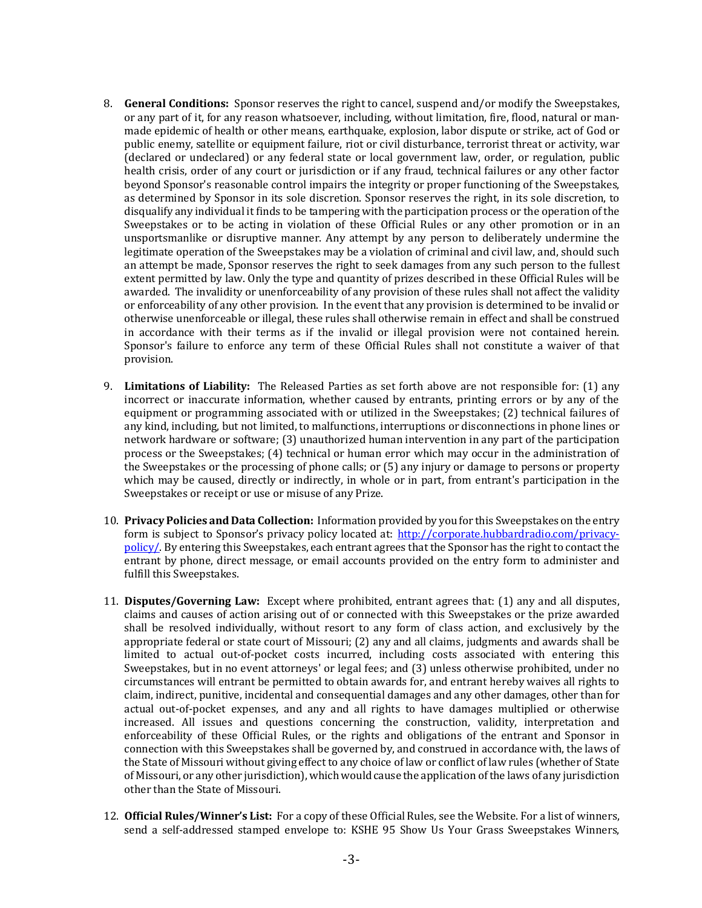- 8. **General Conditions:** Sponsor reserves the right to cancel, suspend and/or modify the Sweepstakes, or any part of it, for any reason whatsoever, including, without limitation, fire, flood, natural or manmade epidemic of health or other means, earthquake, explosion, labor dispute or strike, act of God or public enemy, satellite or equipment failure, riot or civil disturbance, terrorist threat or activity, war (declared or undeclared) or any federal state or local government law, order, or regulation, public health crisis, order of any court or jurisdiction or if any fraud, technical failures or any other factor beyond Sponsor's reasonable control impairs the integrity or proper functioning of the Sweepstakes, as determined by Sponsor in its sole discretion. Sponsor reserves the right, in its sole discretion, to disqualify any individual it finds to be tampering with the participation process or the operation of the Sweepstakes or to be acting in violation of these Official Rules or any other promotion or in an unsportsmanlike or disruptive manner. Any attempt by any person to deliberately undermine the legitimate operation of the Sweepstakes may be a violation of criminal and civil law, and, should such an attempt be made, Sponsor reserves the right to seek damages from any such person to the fullest extent permitted by law. Only the type and quantity of prizes described in these Official Rules will be awarded. The invalidity or unenforceability of any provision of these rules shall not affect the validity or enforceability of any other provision. In the event that any provision is determined to be invalid or otherwise unenforceable or illegal, these rules shall otherwise remain in effect and shall be construed in accordance with their terms as if the invalid or illegal provision were not contained herein. Sponsor's failure to enforce any term of these Official Rules shall not constitute a waiver of that provision.
- 9. Limitations of Liability: The Released Parties as set forth above are not responsible for: (1) any incorrect or inaccurate information, whether caused by entrants, printing errors or by any of the equipment or programming associated with or utilized in the Sweepstakes; (2) technical failures of any kind, including, but not limited, to malfunctions, interruptions or disconnections in phone lines or network hardware or software; (3) unauthorized human intervention in any part of the participation process or the Sweepstakes; (4) technical or human error which may occur in the administration of the Sweepstakes or the processing of phone calls; or  $(5)$  any injury or damage to persons or property which may be caused, directly or indirectly, in whole or in part, from entrant's participation in the Sweepstakes or receipt or use or misuse of any Prize.
- 10. **Privacy Policies and Data Collection:** Information provided by you for this Sweepstakes on the entry form is subject to Sponsor's privacy policy located at: http://corporate.hubbardradio.com/privacypolicy/. By entering this Sweepstakes, each entrant agrees that the Sponsor has the right to contact the entrant by phone, direct message, or email accounts provided on the entry form to administer and fulfill this Sweepstakes.
- 11. **Disputes/Governing Law:** Except where prohibited, entrant agrees that: (1) any and all disputes, claims and causes of action arising out of or connected with this Sweepstakes or the prize awarded shall be resolved individually, without resort to any form of class action, and exclusively by the appropriate federal or state court of Missouri;  $(2)$  any and all claims, judgments and awards shall be limited to actual out-of-pocket costs incurred, including costs associated with entering this Sweepstakes, but in no event attorneys' or legal fees; and (3) unless otherwise prohibited, under no circumstances will entrant be permitted to obtain awards for, and entrant hereby waives all rights to claim, indirect, punitive, incidental and consequential damages and any other damages, other than for actual out-of-pocket expenses, and any and all rights to have damages multiplied or otherwise increased. All issues and questions concerning the construction, validity, interpretation and enforceability of these Official Rules, or the rights and obligations of the entrant and Sponsor in connection with this Sweepstakes shall be governed by, and construed in accordance with, the laws of the State of Missouri without giving effect to any choice of law or conflict of law rules (whether of State of Missouri, or any other jurisdiction), which would cause the application of the laws of any jurisdiction other than the State of Missouri.
- 12. **Official Rules/Winner's List:** For a copy of these Official Rules, see the Website. For a list of winners, send a self-addressed stamped envelope to: KSHE 95 Show Us Your Grass Sweepstakes Winners,